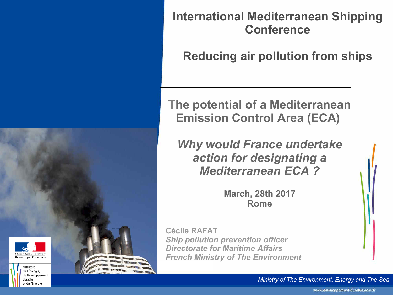

**Reducing air pollution from ships** 

#### **The potential of a Mediterranean Emission Control Area (ECA)**

*Why would France undertake action for designating a Mediterranean ECA ?* 

> **March, 28th 2017 Rome**

**Cécile RAFAT** *Ship pollution prevention officer Directorate for Maritime Affairs French Ministry of The Environment* 

 $h$ erté • Égalité • Fraternité RÉPUBLIQUE FRANCAISE

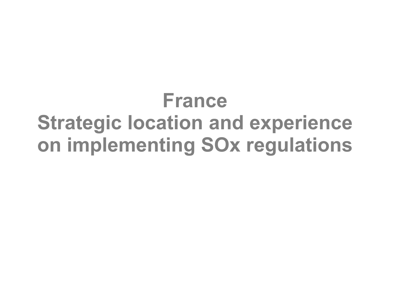# **France Strategic location and experience on implementing SOx regulations**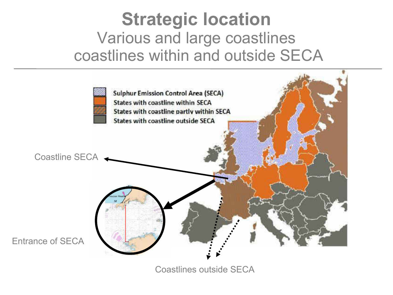## **Strategic location**  Various and large coastlines coastlines within and outside SECA



Coastlines outside SECA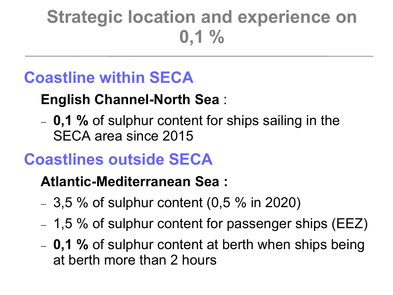# **Strategic location and experience on 0,1 %**

## **Coastline within SECA**

### **English Channel-North Sea** :

 **0,1 %** of sulphur content for ships sailing in the SECA area since 2015

## **Coastlines outside SECA**

#### **Atlantic-Mediterranean Sea :**

- $-3,5\%$  of sulphur content (0,5 % in 2020)
- $-1,5\%$  of sulphur content for passenger ships (EEZ)
- **0,1 %** of sulphur content at berth when ships being at berth more than 2 hours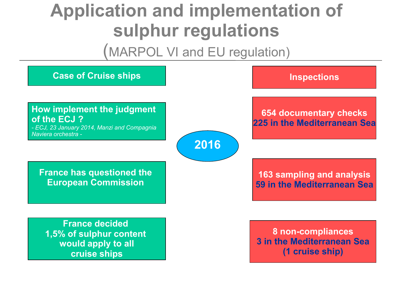# **Application and implementation of sulphur regulations**

(MARPOL VI and EU regulation)

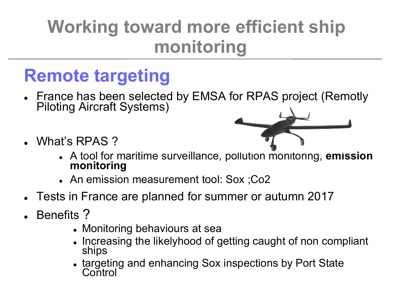# **Working toward more efficient ship monitoring**

# **Remote targeting**

- France has been selected by EMSA for RPAS project (Remotly Piloting Aircraft Systems)
- What's RPAS ?



- A tool for maritime surveillance, pollution monitoring, **emission monitoring**
- An emission measurement tool: Sox ;Co2
- Tests in France are planned for summer or autumn 2017
- Benefits ?
	- Monitoring behaviours at sea
	- Increasing the likelyhood of getting caught of non compliant ships
	- targeting and enhancing Sox inspections by Port State **Control**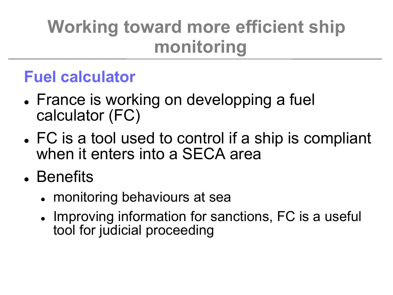# **Working toward more efficient ship monitoring**

### **Fuel calculator**

- France is working on developping a fuel calculator (FC)
- FC is a tool used to control if a ship is compliant when it enters into a SECA area
- Benefits
	- monitoring behaviours at sea
	- Improving information for sanctions, FC is a useful tool for judicial proceeding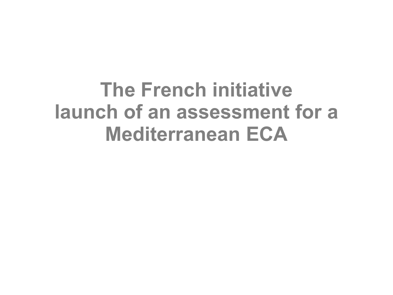# **The French initiative launch of an assessment for a Mediterranean ECA**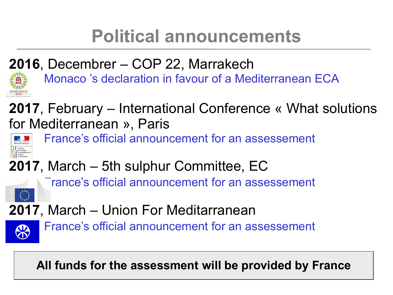# **Political announcements**

### **2016**, Decembrer – COP 22, Marrakech

Monaco 's declaration in favour of a Mediterranean ECA

**2017**, February – International Conference « What solutions for Mediterranean », Paris



France's official announcement for an assessement

**2017**, March – 5th sulphur Committee, EC

Trance's official announcement for an assessement

**2017**, March – Union For Meditarranean



France's official announcement for an assessement

**All funds for the assessment will be provided by France**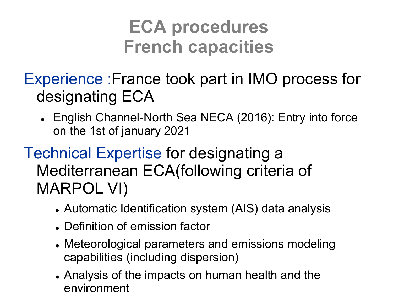# **ECA procedures French capacities**

- Experience :France took part in IMO process for designating ECA
	- English Channel-North Sea NECA (2016): Entry into force on the 1st of january 2021
- Technical Expertise for designating a Mediterranean ECA(following criteria of MARPOL VI)
	- Automatic Identification system (AIS) data analysis
	- Definition of emission factor
	- Meteorological parameters and emissions modeling capabilities (including dispersion)
	- Analysis of the impacts on human health and the environment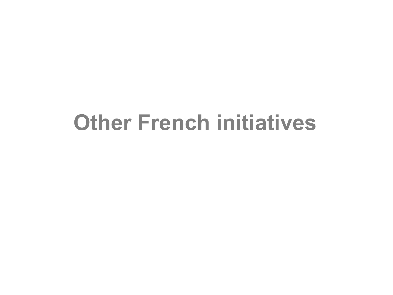# **Other French initiatives**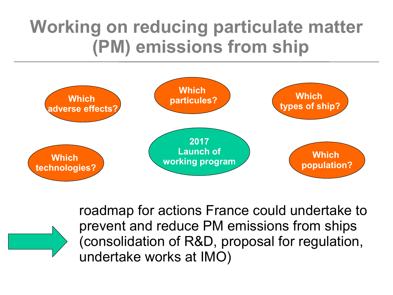# **Working on reducing particulate matter (PM) emissions from ship**



roadmap for actions France could undertake to prevent and reduce PM emissions from ships (consolidation of R&D, proposal for regulation, undertake works at IMO)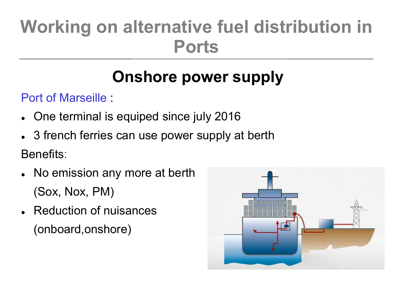# **Working on alternative fuel distribution in Ports**

# **Onshore power supply**

Port of Marseille :

- One terminal is equiped since july 2016
- 3 french ferries can use power supply at berth

Benefits:

- No emission any more at berth (Sox, Nox, PM)
- Reduction of nuisances (onboard,onshore)

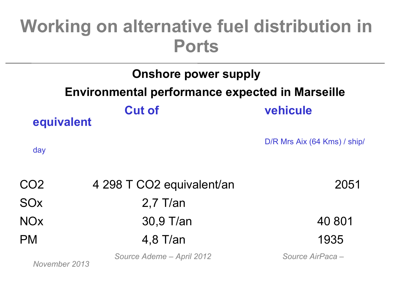# **Working on alternative fuel distribution in Ports**

|                                                        | <b>Onshore power supply</b> |                              |  |
|--------------------------------------------------------|-----------------------------|------------------------------|--|
| <b>Environmental performance expected in Marseille</b> |                             |                              |  |
| equivalent                                             | <b>Cut of</b>               | vehicule                     |  |
| day                                                    |                             | D/R Mrs Aix (64 Kms) / ship/ |  |
| CO <sub>2</sub>                                        | 4 298 T CO2 equivalent/an   | 2051                         |  |
| <b>SO<sub>x</sub></b>                                  | $2.7$ T/an                  |                              |  |
| <b>NOx</b>                                             | 30,9 T/an                   | 40 801                       |  |
| <b>PM</b>                                              | $4,8$ T/an                  | 1935                         |  |
|                                                        | Source Ademe - April 2012   | Source AirPaca -             |  |

*November 2013*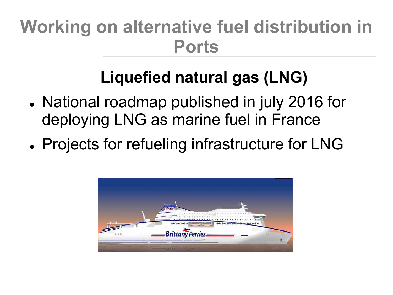# **Working on alternative fuel distribution in Ports**

# **Liquefied natural gas (LNG)**

- National roadmap published in july 2016 for deploying LNG as marine fuel in France
- Projects for refueling infrastructure for LNG